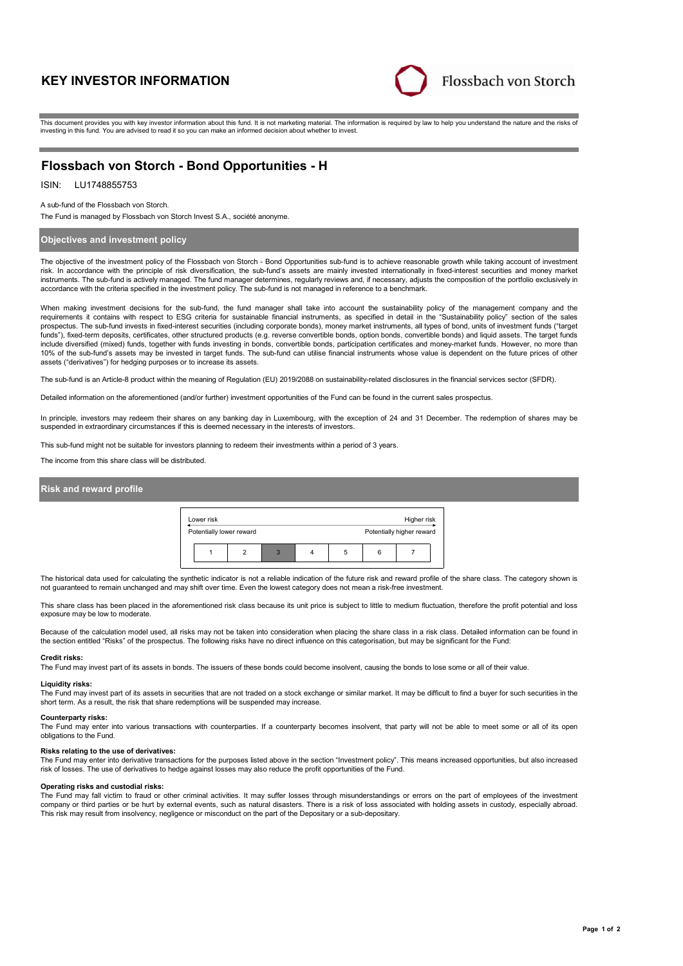# **KEY INVESTOR INFORMATION**



This document provides you with key investor information about this fund. It is not marketing material. The information is required by law to help you understand the nature and the risks of investing in this fund. You are advised to read it so you can make an informed decision about whether to invest.

# **Flossbach von Storch - Bond Opportunities - H**

## ISIN: LU1748855753

A sub-fund of the Flossbach von Storch.

The Fund is managed by Flossbach von Storch Invest S.A., société anonyme.

### **Objectives and investment policy**

The objective of the investment policy of the Flossbach von Storch - Bond Opportunities sub-fund is to achieve reasonable growth while taking account of investment risk. In accordance with the principle of risk diversification, the sub-fund's assets are mainly invested internationally in fixed-interest securities and money market instruments. The sub-fund is actively managed. The fund manager determines, regularly reviews and, if necessary, adjusts the composition of the portfolio exclusively in accordance with the criteria specified in the investment policy. The sub-fund is not managed in reference to a benchmark.

When making investment decisions for the sub-fund, the fund manager shall take into account the sustainability policy of the management company and the requirements it contains with respect to ESG criteria for sustainable financial instruments, as specified in detail in the "Sustainability policy" section of the sales<br>prospectus. The sub-fund invests in fixed-interest sec funds"), fixed-term deposits, certificates, other structured products (e.g. reverse convertible bonds, option bonds, convertible bonds) and liquid assets. The target funds include diversified (mixed) funds, together with funds investing in bonds, convertible bonds, participation certificates and money-market funds. However, no more than 10% of the sub-fund's assets may be invested in target funds. The sub-fund can utilise financial instruments whose value is dependent on the future prices of other assets ("derivatives") for hedging purposes or to increase its assets.

The sub-fund is an Article-8 product within the meaning of Regulation (EU) 2019/2088 on sustainability-related disclosures in the financial services sector (SFDR).

Detailed information on the aforementioned (and/or further) investment opportunities of the Fund can be found in the current sales prospectus.

In principle, investors may redeem their shares on any banking day in Luxembourg, with the exception of 24 and 31 December. The redemption of shares may be suspended in extraordinary circumstances if this is deemed necessary in the interests of investors.

This sub-fund might not be suitable for investors planning to redeem their investments within a period of 3 years.

The income from this share class will be distributed.

### **Risk and reward profile**



The historical data used for calculating the synthetic indicator is not a reliable indication of the future risk and reward profile of the share class. The category shown is not guaranteed to remain unchanged and may shift over time. Even the lowest category does not mean a risk-free investment.

This share class has been placed in the aforementioned risk class because its unit price is subject to little to medium fluctuation, therefore the profit potential and loss exposure may be low to moderate.

Because of the calculation model used, all risks may not be taken into consideration when placing the share class in a risk class. Detailed information can be found in the section entitled "Risks" of the prospectus. The following risks have no direct influence on this categorisation, but may be significant for the Fund:

#### **Credit risks:**

The Fund may invest part of its assets in bonds. The issuers of these bonds could become insolvent, causing the bonds to lose some or all of their value.

#### **Liquidity risks:**

The Fund may invest part of its assets in securities that are not traded on a stock exchange or similar market. It may be difficult to find a buyer for such securities in the short term. As a result, the risk that share redemptions will be suspended may increase.

**Counterparty risks:** The Fund may enter into various transactions with counterparties. If a counterparty becomes insolvent, that party will not be able to meet some or all of its open obligations to the Fund.

#### **Risks relating to the use of derivatives:**

The Fund may enter into derivative transactions for the purposes listed above in the section "Investment policy". This means increased opportunities, but also increased risk of losses. The use of derivatives to hedge against losses may also reduce the profit opportunities of the Fund.

#### **Operating risks and custodial risks:**

The Fund may fall victim to fraud or other criminal activities. It may suffer losses through misunderstandings or errors on the part of employees of the investment company or third parties or be hurt by external events, such as natural disasters. There is a risk of loss associated with holding assets in custody, especially abroad. This risk may result from insolvency, negligence or misconduct on the part of the Depositary or a sub-depositary.